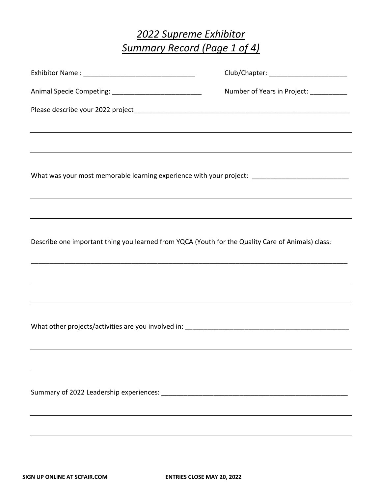# *2022 Supreme Exhibitor Summary Record (Page 1 of 4)*

|                                                                                                                                                                                          | Club/Chapter: ____________________________ |
|------------------------------------------------------------------------------------------------------------------------------------------------------------------------------------------|--------------------------------------------|
|                                                                                                                                                                                          | Number of Years in Project: ___________    |
|                                                                                                                                                                                          |                                            |
| <u> 1989 - Andrea San Andrea Andrea Andrea Andrea Andrea Andrea Andrea Andrea Andrea Andrea Andrea Andrea Andrea</u>                                                                     |                                            |
| What was your most memorable learning experience with your project: ________________________________<br>,我们也不会有什么。""我们的人,我们也不会有什么?""我们的人,我们也不会有什么?""我们的人,我们也不会有什么?""我们的人,我们也不会有什么?""我们的人 |                                            |
|                                                                                                                                                                                          |                                            |
| Describe one important thing you learned from YQCA (Youth for the Quality Care of Animals) class:                                                                                        |                                            |
| ,我们也不会有什么。""我们的人,我们也不会有什么?""我们的人,我们也不会有什么?""我们的人,我们也不会有什么?""我们的人,我们也不会有什么?""我们的人                                                                                                         |                                            |
| ,我们也不会有什么。""我们的人,我们也不会有什么?""我们的人,我们也不会有什么?""我们的人,我们也不会有什么?""我们的人,我们也不会有什么?""我们的人                                                                                                         |                                            |
|                                                                                                                                                                                          |                                            |
|                                                                                                                                                                                          |                                            |
|                                                                                                                                                                                          |                                            |
|                                                                                                                                                                                          |                                            |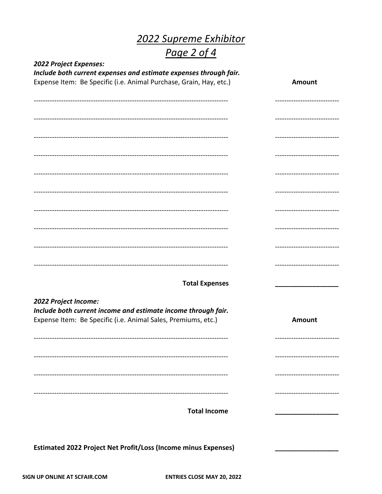# 2022 Supreme Exhibitor<br>Page 2 of 4

| 2022 Project Expenses:                                                                                                                                 |                              |
|--------------------------------------------------------------------------------------------------------------------------------------------------------|------------------------------|
| Include both current expenses and estimate expenses through fair.<br>Expense Item: Be Specific (i.e. Animal Purchase, Grain, Hay, etc.)                | <b>Amount</b>                |
|                                                                                                                                                        |                              |
|                                                                                                                                                        | ---------------------------- |
|                                                                                                                                                        | ----------------------       |
|                                                                                                                                                        | ---------------------------- |
|                                                                                                                                                        | ---------------------------- |
|                                                                                                                                                        | ---------------------------- |
|                                                                                                                                                        | ---------------------------- |
|                                                                                                                                                        | ---------------------------- |
|                                                                                                                                                        |                              |
| <b>Total Expenses</b>                                                                                                                                  |                              |
| 2022 Project Income:<br>Include both current income and estimate income through fair.<br>Expense Item: Be Specific (i.e. Animal Sales, Premiums, etc.) | <b>Amount</b>                |
|                                                                                                                                                        | --------------------------   |
|                                                                                                                                                        |                              |
|                                                                                                                                                        |                              |
| <b>Total Income</b>                                                                                                                                    | ------------------           |
| <b>Estimated 2022 Project Net Profit/Loss (Income minus Expenses)</b>                                                                                  |                              |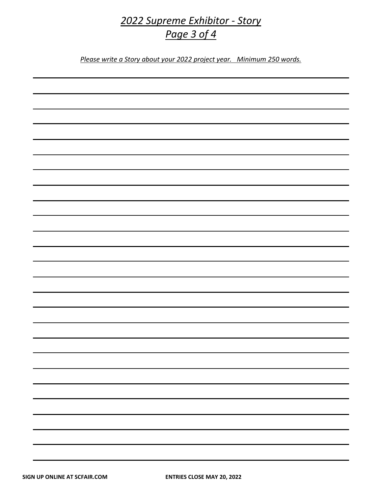### *2022 Supreme Exhibitor - Story Page 3 of 4*

*Please write a Story about your 2022 project year. Minimum 250 words.*